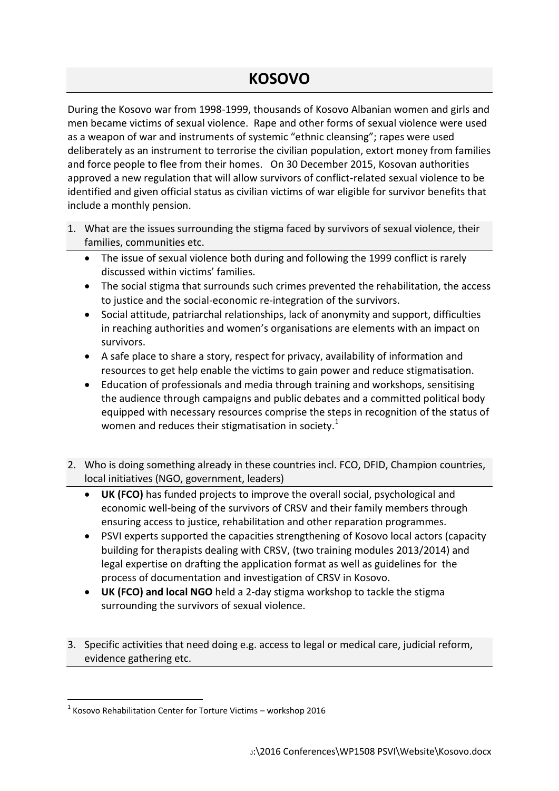## **KOSOVO**

During the Kosovo war from 1998-1999, thousands of Kosovo Albanian women and girls and men became victims of sexual violence. Rape and other forms of sexual violence were used as a weapon of war and instruments of systemic "ethnic cleansing"; rapes were used deliberately as an instrument to terrorise the civilian population, extort money from families and force people to flee from their homes. On 30 December 2015, Kosovan authorities approved a new regulation that will allow survivors of conflict-related sexual violence to be identified and given official status as civilian victims of war eligible for survivor benefits that include a monthly pension.

- 1. What are the issues surrounding the stigma faced by survivors of sexual violence, their families, communities etc.
	- The issue of sexual violence both during and following the 1999 conflict is rarely discussed within victims' families.
	- The social stigma that surrounds such crimes prevented the rehabilitation, the access to justice and the social-economic re-integration of the survivors.
	- Social attitude, patriarchal relationships, lack of anonymity and support, difficulties in reaching authorities and women's organisations are elements with an impact on survivors.
	- A safe place to share a story, respect for privacy, availability of information and resources to get help enable the victims to gain power and reduce stigmatisation.
	- Education of professionals and media through training and workshops, sensitising the audience through campaigns and public debates and a committed political body equipped with necessary resources comprise the steps in recognition of the status of women and reduces their stigmatisation in society. $1$
- 2. Who is doing something already in these countries incl. FCO, DFID, Champion countries, local initiatives (NGO, government, leaders)
	- **UK (FCO)** has funded projects to improve the overall social, psychological and economic well-being of the survivors of CRSV and their family members through ensuring access to justice, rehabilitation and other reparation programmes.
	- PSVI experts supported the capacities strengthening of Kosovo local actors (capacity building for therapists dealing with CRSV, (two training modules 2013/2014) and legal expertise on drafting the application format as well as guidelines for the process of documentation and investigation of CRSV in Kosovo.
	- **UK (FCO) and local NGO** held a 2-day stigma workshop to tackle the stigma surrounding the survivors of sexual violence.
- 3. Specific activities that need doing e.g. access to legal or medical care, judicial reform, evidence gathering etc.

1

 $1$  Kosovo Rehabilitation Center for Torture Victims – workshop 2016